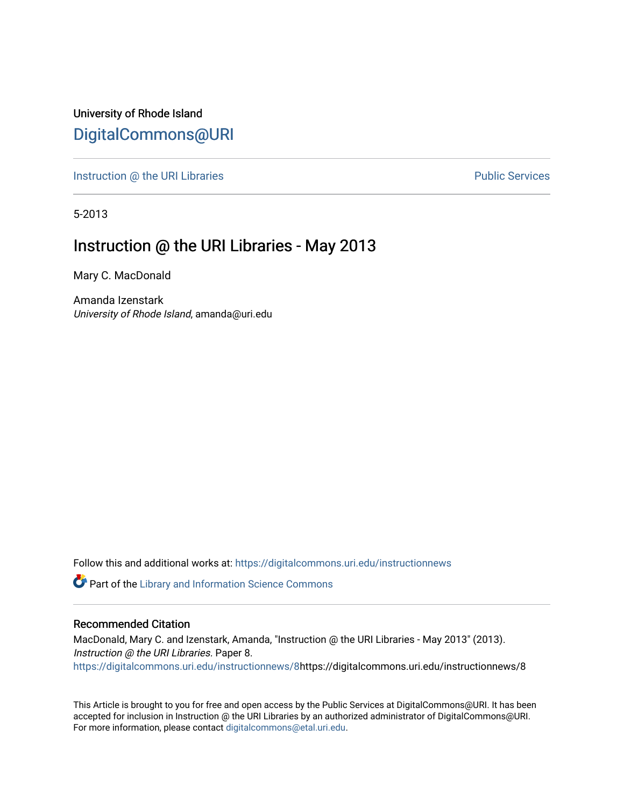University of Rhode Island [DigitalCommons@URI](https://digitalcommons.uri.edu/) 

[Instruction @ the URI Libraries](https://digitalcommons.uri.edu/instructionnews) **Public Services** Public Services

5-2013

## Instruction @ the URI Libraries - May 2013

Mary C. MacDonald

Amanda Izenstark University of Rhode Island, amanda@uri.edu

Follow this and additional works at: [https://digitalcommons.uri.edu/instructionnews](https://digitalcommons.uri.edu/instructionnews?utm_source=digitalcommons.uri.edu%2Finstructionnews%2F8&utm_medium=PDF&utm_campaign=PDFCoverPages)

Part of the [Library and Information Science Commons](https://network.bepress.com/hgg/discipline/1018?utm_source=digitalcommons.uri.edu%2Finstructionnews%2F8&utm_medium=PDF&utm_campaign=PDFCoverPages) 

#### Recommended Citation

MacDonald, Mary C. and Izenstark, Amanda, "Instruction @ the URI Libraries - May 2013" (2013). Instruction @ the URI Libraries. Paper 8. [https://digitalcommons.uri.edu/instructionnews/8](https://digitalcommons.uri.edu/instructionnews/8?utm_source=digitalcommons.uri.edu%2Finstructionnews%2F8&utm_medium=PDF&utm_campaign=PDFCoverPages)https://digitalcommons.uri.edu/instructionnews/8

This Article is brought to you for free and open access by the Public Services at DigitalCommons@URI. It has been accepted for inclusion in Instruction @ the URI Libraries by an authorized administrator of DigitalCommons@URI. For more information, please contact [digitalcommons@etal.uri.edu](mailto:digitalcommons@etal.uri.edu).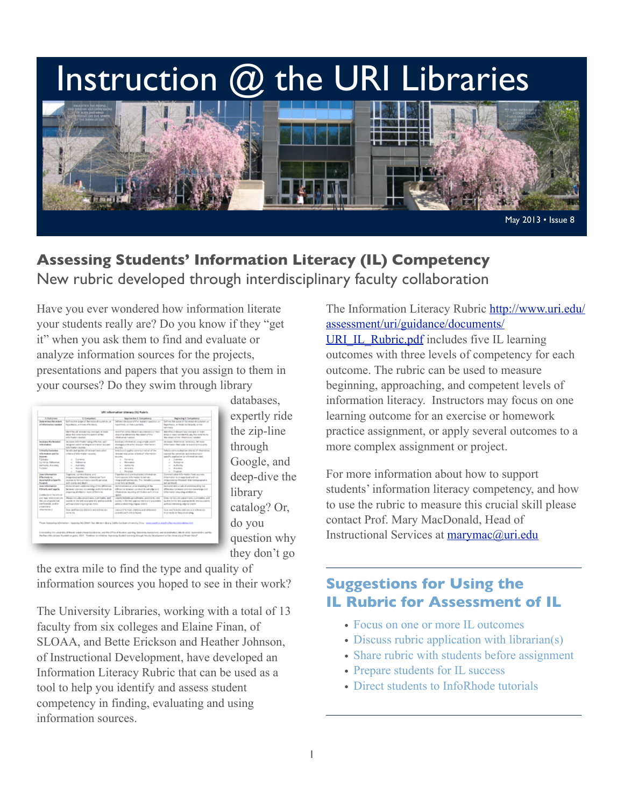# Instruction  $@$  the URI Libraries



# **Assessing Students' Information Literacy (IL) Competency** New rubric developed through interdisciplinary faculty collaboration

Have you ever wondered how information literate your students really are? Do you know if they "get it" when you ask them to find and evaluate or analyze information sources for the projects, presentations and papers that you assign to them in your courses? Do they swim through library

| <b>B. Rodriguez</b>                                                                                                                                              | <b>E Francoise i</b>                                                                                                                                              | <b>Approaches &amp; Competency</b>                                                                                                                                                    | <b>Inglesting &amp; Competition</b>                                                                                                                                                                                        |
|------------------------------------------------------------------------------------------------------------------------------------------------------------------|-------------------------------------------------------------------------------------------------------------------------------------------------------------------|---------------------------------------------------------------------------------------------------------------------------------------------------------------------------------------|----------------------------------------------------------------------------------------------------------------------------------------------------------------------------------------------------------------------------|
| Determines the recipies<br><b>Administration Control</b>                                                                                                         | below the gaps of the magnetic position of<br>forestasium tropi effectioni.                                                                                       | before the count of the magnitude constitution<br>hardway, protectionally                                                                                                             | Defines the accuracy of the energy deal position, and<br>basements or thesis to be such as two<br><b>NATIONAL</b>                                                                                                          |
|                                                                                                                                                                  | <b>Mark Rev all relocate any constant on main.</b><br>also the sevenages asset of the<br><b>Industrial Africa, construction</b>                                   | duration come inferent law concern or main.<br>departing distances the consensations.<br><b>Homeway</b> Award                                                                         | Martin Lendough lay con art of Nati-<br>in the art data survivient for any than determined<br>the company of the informations supplied.                                                                                    |
| <b><i><u>Science the Newton</u></i></b><br><b>Information</b>                                                                                                    | derases information using offerings, wall-<br>designed salarshi diretageas and dopo resigned<br><b>Information sources</b>                                        | Annual chimaton ang angli savit<br>interegies and some releaser information<br><b>ALCOHOL:</b>                                                                                        | <b>Science Manager science recour-</b><br>information than looks relevance and quality.                                                                                                                                    |
| <b>Entireda Exclusive</b><br>information and its<br><b>Report Follows</b><br><b>Science</b><br>Control, Islamana.<br><b>Authority Arenasco</b><br><b>Furnish</b> | Streets and applies all armount assessment<br>chain dialectuales sensors.<br>a Comme<br><b>Automotive</b><br>$\sim$<br>a Automotive<br><b>Alliance</b><br>Eugenee | break and applies some but selled all the<br>simplicity in a column relation<br><b>Burden</b><br>a Corporation<br><b>Recognized</b><br>$\sim$<br>a sustanti<br>A MONTAN<br>Participan | Sales is a state to check the stillar in all channels as<br>courses but artistical join missions or<br>gardis appliation to information rand.<br>a Commer<br>a Adequa<br>a Autority<br><b>Alleged</b><br><b>L. Polyton</b> |
| the information<br><b>Effectively to</b><br><b>Automatisk a Executive</b><br><b><i><u>Purpose</u></i></b>                                                        | Organizm, commercialist, and<br>in agreement probability informations have<br>sources to fails actions a specific persons.<br>with standig and should.            | Copyright and communication information.<br>have a survive information is not only<br>Hopptellonitezet, De Hondel comm<br>to not fails achieved.                                      | Commercialist information has account.<br>information is enough these and not<br>Integrated/orchested Interdedigorgeants<br><b>And Achieved</b>                                                                            |
| <b>ALA Information</b><br><b>Elevate and Leaville</b><br><b>Insternal Benthral</b>                                                                               | <b>Brown was understanding after difference</b><br>between contract knowledge and whose disa-<br>experience and factory and of the form                           | increases an executive of the<br>difference between compact knowledge and<br>chain alone would by all 10 discovers at their<br><b>Month</b>                                           | <b>Remove you a light of understanding the</b><br>difference between construction recording and<br>Effectiveness may sing which drive.                                                                                     |
| and least restrictions on<br>the case of positioned.<br>configurated, and/or<br>promising.                                                                       | discussion about the state of the state of<br>provides the third and a pure spectral to analyzes on which<br>without distances angled inper-                      | closely includes an authority, approaches and<br>suche in the heat appropriately and acquested.<br>without discussing science insects.                                                | Even not believe a positioners, commerters, and<br>quarters beliefing faced acquiring thirt why aren't procure plants.<br>antique data en la signal una m                                                                  |
| <b>Information &amp;</b>                                                                                                                                         | the editorial distance and inference<br>sales like                                                                                                                | cars and furnish challens and allowance<br>contact a will status below.                                                                                                               | tage and formats-stations and references<br><b>Depreciations they are straing</b>                                                                                                                                          |
|                                                                                                                                                                  |                                                                                                                                                                   |                                                                                                                                                                                       |                                                                                                                                                                                                                            |

databases, expertly ride the zip-line through Google, and deep-dive the library catalog? Or, do you question why they don't go

the extra mile to find the type and quality of information sources you hoped to see in their work?

The University Libraries, working with a total of 13 faculty from six colleges and Elaine Finan, of SLOAA, and Bette Erickson and Heather Johnson, of Instructional Development, have developed an Information Literacy Rubric that can be used as a tool to help you identify and assess student competency in finding, evaluating and using information sources.

The Information Literacy Rubric [http://www.uri.edu/](http://www.uri.edu/assessment/uri/guidance/documents/URI_IL_Rubric.pdf) [assessment/uri/guidance/documents/](http://www.uri.edu/assessment/uri/guidance/documents/URI_IL_Rubric.pdf) [URI\\_IL\\_Rubric.pdf](http://www.uri.edu/assessment/uri/guidance/documents/URI_IL_Rubric.pdf) includes five IL learning outcomes with three levels of competency for each outcome. The rubric can be used to measure beginning, approaching, and competent levels of information literacy. Instructors may focus on one learning outcome for an exercise or homework practice assignment, or apply several outcomes to a more complex assignment or project.

For more information about how to support students' information literacy competency, and how to use the rubric to measure this crucial skill please contact Prof. Mary MacDonald, Head of Instructional Services at [marymac@uri.edu](mailto:marymac@uri.edu)

# **Suggestions for Using the IL Rubric for Assessment of IL**

- Focus on one or more IL outcomes
- Discuss rubric application with librarian(s)
- Share rubric with students before assignment
- Prepare students for IL success
- Direct students to InfoRhode tutorials